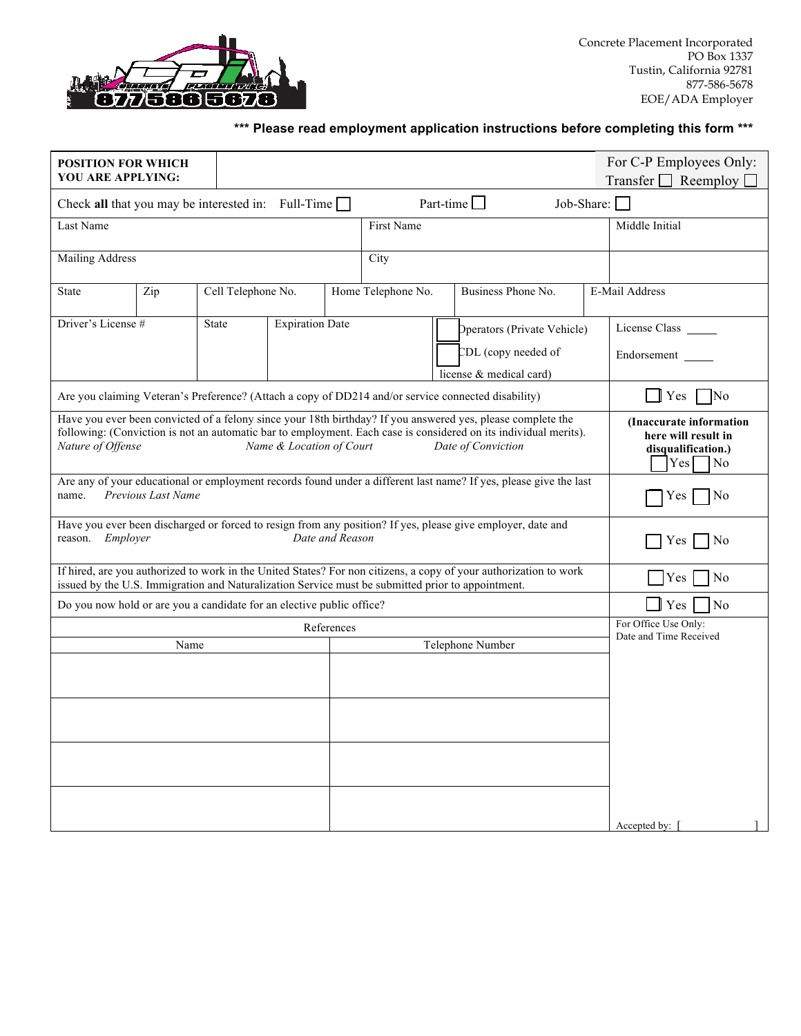

## **\*\*\* Please read employment application instructions before completing this form \*\*\***

| <b>POSITION FOR WHICH</b><br>YOU ARE APPLYING:                                                                                                                                                                                                                                                         |     |                                                                |  |                        |  |                                                                                                     |                                                                               |                                                                                               | For C-P Employees Only:          |
|--------------------------------------------------------------------------------------------------------------------------------------------------------------------------------------------------------------------------------------------------------------------------------------------------------|-----|----------------------------------------------------------------|--|------------------------|--|-----------------------------------------------------------------------------------------------------|-------------------------------------------------------------------------------|-----------------------------------------------------------------------------------------------|----------------------------------|
| Transfer $\Box$ Reemploy $\Box$                                                                                                                                                                                                                                                                        |     |                                                                |  |                        |  |                                                                                                     |                                                                               |                                                                                               |                                  |
| Part-time $\square$<br>Job-Share: $\Box$<br>Check all that you may be interested in: Full-Time                                                                                                                                                                                                         |     |                                                                |  |                        |  |                                                                                                     |                                                                               |                                                                                               |                                  |
| Last Name                                                                                                                                                                                                                                                                                              |     |                                                                |  |                        |  | First Name                                                                                          |                                                                               |                                                                                               | Middle Initial                   |
| <b>Mailing Address</b>                                                                                                                                                                                                                                                                                 |     |                                                                |  |                        |  | City                                                                                                |                                                                               |                                                                                               |                                  |
| <b>State</b>                                                                                                                                                                                                                                                                                           | Zip | Home Telephone No.<br>Business Phone No.<br>Cell Telephone No. |  |                        |  | E-Mail Address                                                                                      |                                                                               |                                                                                               |                                  |
| Driver's License #                                                                                                                                                                                                                                                                                     |     | <b>State</b>                                                   |  | <b>Expiration Date</b> |  |                                                                                                     | Operators (Private Vehicle)<br>CDL (copy needed of<br>license & medical card) |                                                                                               | License Class<br>Endorsement     |
|                                                                                                                                                                                                                                                                                                        |     |                                                                |  |                        |  | Are you claiming Veteran's Preference? (Attach a copy of DD214 and/or service connected disability) |                                                                               |                                                                                               | $\Box$ Yes<br>$\sqrt{\text{No}}$ |
| Have you ever been convicted of a felony since your 18th birthday? If you answered yes, please complete the<br>following: (Conviction is not an automatic bar to employment. Each case is considered on its individual merits).<br>Nature of Offense<br>Name & Location of Court<br>Date of Conviction |     |                                                                |  |                        |  |                                                                                                     |                                                                               | (Inaccurate information<br>here will result in<br>disqualification.)<br>Yes<br>N <sub>0</sub> |                                  |
| Are any of your educational or employment records found under a different last name? If yes, please give the last<br>Previous Last Name<br>name.                                                                                                                                                       |     |                                                                |  |                        |  |                                                                                                     |                                                                               | N <sub>0</sub><br>Yes                                                                         |                                  |
| Have you ever been discharged or forced to resign from any position? If yes, please give employer, date and<br>reason. Employer<br>Date and Reason                                                                                                                                                     |     |                                                                |  |                        |  |                                                                                                     |                                                                               | Yes<br>N <sub>0</sub>                                                                         |                                  |
| If hired, are you authorized to work in the United States? For non citizens, a copy of your authorization to work<br>issued by the U.S. Immigration and Naturalization Service must be submitted prior to appointment.                                                                                 |     |                                                                |  |                        |  |                                                                                                     |                                                                               | Yes<br>N <sub>0</sub>                                                                         |                                  |
| Do you now hold or are you a candidate for an elective public office?                                                                                                                                                                                                                                  |     |                                                                |  |                        |  |                                                                                                     |                                                                               | Yes<br>No                                                                                     |                                  |
| References                                                                                                                                                                                                                                                                                             |     |                                                                |  |                        |  |                                                                                                     |                                                                               | For Office Use Only:<br>Date and Time Received                                                |                                  |
| Name                                                                                                                                                                                                                                                                                                   |     |                                                                |  |                        |  |                                                                                                     | Telephone Number                                                              |                                                                                               |                                  |
|                                                                                                                                                                                                                                                                                                        |     |                                                                |  |                        |  |                                                                                                     |                                                                               |                                                                                               |                                  |
|                                                                                                                                                                                                                                                                                                        |     |                                                                |  |                        |  |                                                                                                     |                                                                               |                                                                                               |                                  |
|                                                                                                                                                                                                                                                                                                        |     |                                                                |  |                        |  |                                                                                                     |                                                                               |                                                                                               |                                  |
|                                                                                                                                                                                                                                                                                                        |     |                                                                |  |                        |  |                                                                                                     |                                                                               |                                                                                               |                                  |
|                                                                                                                                                                                                                                                                                                        |     |                                                                |  |                        |  |                                                                                                     |                                                                               |                                                                                               |                                  |
|                                                                                                                                                                                                                                                                                                        |     |                                                                |  |                        |  |                                                                                                     |                                                                               |                                                                                               | Accepted by: [                   |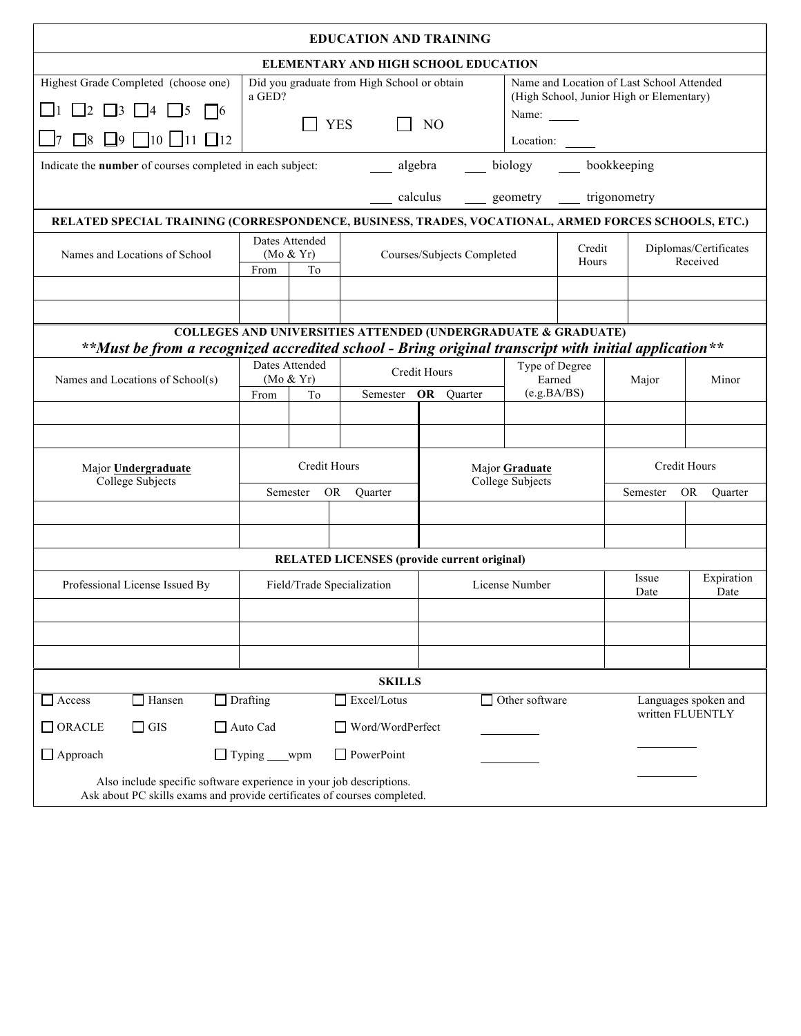|                                                                                                                                                 |                             |    | <b>EDUCATION AND TRAINING</b>                                            |                                          |                                                                                       |                |                      |                       |  |
|-------------------------------------------------------------------------------------------------------------------------------------------------|-----------------------------|----|--------------------------------------------------------------------------|------------------------------------------|---------------------------------------------------------------------------------------|----------------|----------------------|-----------------------|--|
|                                                                                                                                                 |                             |    | <b>ELEMENTARY AND HIGH SCHOOL EDUCATION</b>                              |                                          |                                                                                       |                |                      |                       |  |
| Highest Grade Completed (choose one)<br>Did you graduate from High School or obtain<br>a GED?                                                   |                             |    |                                                                          |                                          | Name and Location of Last School Attended<br>(High School, Junior High or Elementary) |                |                      |                       |  |
| $\Box$ 2 $\Box$ 3 $\Box$ 4<br>$\mathsf{I}5$<br>  16                                                                                             |                             |    | Name: $\frac{ }{ }$<br>NO                                                |                                          |                                                                                       |                |                      |                       |  |
| $\Box$ 8 $\Box$ 9 $\Box$ 10 $\Box$ 11 $\Box$ 12                                                                                                 | <b>YES</b>                  |    |                                                                          |                                          | Location:                                                                             |                |                      |                       |  |
| biology bookkeeping<br>Indicate the number of courses completed in each subject:<br>algebra                                                     |                             |    |                                                                          |                                          |                                                                                       |                |                      |                       |  |
|                                                                                                                                                 |                             |    |                                                                          | __ calculus ___ geometry __ trigonometry |                                                                                       |                |                      |                       |  |
| RELATED SPECIAL TRAINING (CORRESPONDENCE, BUSINESS, TRADES, VOCATIONAL, ARMED FORCES SCHOOLS, ETC.)                                             |                             |    |                                                                          |                                          |                                                                                       |                |                      |                       |  |
| Names and Locations of School                                                                                                                   | Dates Attended<br>(Mo & Yr) |    | Courses/Subjects Completed                                               |                                          | Credit                                                                                |                |                      | Diplomas/Certificates |  |
|                                                                                                                                                 | From                        | To |                                                                          |                                          | Hours                                                                                 |                | Received             |                       |  |
|                                                                                                                                                 |                             |    |                                                                          |                                          |                                                                                       |                |                      |                       |  |
|                                                                                                                                                 |                             |    |                                                                          |                                          |                                                                                       |                |                      |                       |  |
| **Must be from a recognized accredited school - Bring original transcript with initial application**                                            |                             |    | <b>COLLEGES AND UNIVERSITIES ATTENDED (UNDERGRADUATE &amp; GRADUATE)</b> |                                          |                                                                                       |                |                      |                       |  |
|                                                                                                                                                 | Dates Attended              |    |                                                                          | Credit Hours                             |                                                                                       | Type of Degree |                      |                       |  |
| Names and Locations of School(s)                                                                                                                | (Mo & Yr)<br>T <sub>o</sub> |    |                                                                          |                                          | Earned<br>(e.g.BA/BS)                                                                 |                | Major                | Minor                 |  |
|                                                                                                                                                 | From                        |    |                                                                          | Semester OR Quarter                      |                                                                                       |                |                      |                       |  |
|                                                                                                                                                 |                             |    |                                                                          |                                          |                                                                                       |                |                      |                       |  |
| Major Undergraduate                                                                                                                             | Credit Hours                |    |                                                                          |                                          | Major Graduate                                                                        |                | Credit Hours         |                       |  |
| College Subjects                                                                                                                                |                             |    |                                                                          |                                          | College Subjects                                                                      |                |                      |                       |  |
|                                                                                                                                                 | Semester<br>OR.             |    | Quarter                                                                  |                                          |                                                                                       |                | Semester             | <b>OR</b><br>Quarter  |  |
|                                                                                                                                                 |                             |    |                                                                          |                                          |                                                                                       |                |                      |                       |  |
|                                                                                                                                                 |                             |    |                                                                          |                                          |                                                                                       |                |                      |                       |  |
|                                                                                                                                                 |                             |    | <b>RELATED LICENSES</b> (provide current original)                       |                                          |                                                                                       |                |                      |                       |  |
| Professional License Issued By                                                                                                                  | Field/Trade Specialization  |    |                                                                          |                                          | License Number                                                                        |                | Issue<br>Date        | Expiration<br>Date    |  |
|                                                                                                                                                 |                             |    |                                                                          |                                          |                                                                                       |                |                      |                       |  |
|                                                                                                                                                 |                             |    |                                                                          |                                          |                                                                                       |                |                      |                       |  |
|                                                                                                                                                 |                             |    |                                                                          |                                          |                                                                                       |                |                      |                       |  |
|                                                                                                                                                 |                             |    | <b>SKILLS</b>                                                            |                                          |                                                                                       |                |                      |                       |  |
| $\Box$ Drafting<br>Excel/Lotus<br>$\Box$ Hansen<br>Access                                                                                       |                             |    |                                                                          | Other software                           |                                                                                       |                | Languages spoken and |                       |  |
| written FLUENTLY<br>$\Box$ GIS<br>$\Box$ ORACLE<br>$\Box$ Auto Cad<br>Word/WordPerfect                                                          |                             |    |                                                                          |                                          |                                                                                       |                |                      |                       |  |
| $\Box$ Approach                                                                                                                                 | $\Box$ Typing ___wpm        |    | $\Box$ PowerPoint                                                        |                                          |                                                                                       |                |                      |                       |  |
| Also include specific software experience in your job descriptions.<br>Ask about PC skills exams and provide certificates of courses completed. |                             |    |                                                                          |                                          |                                                                                       |                |                      |                       |  |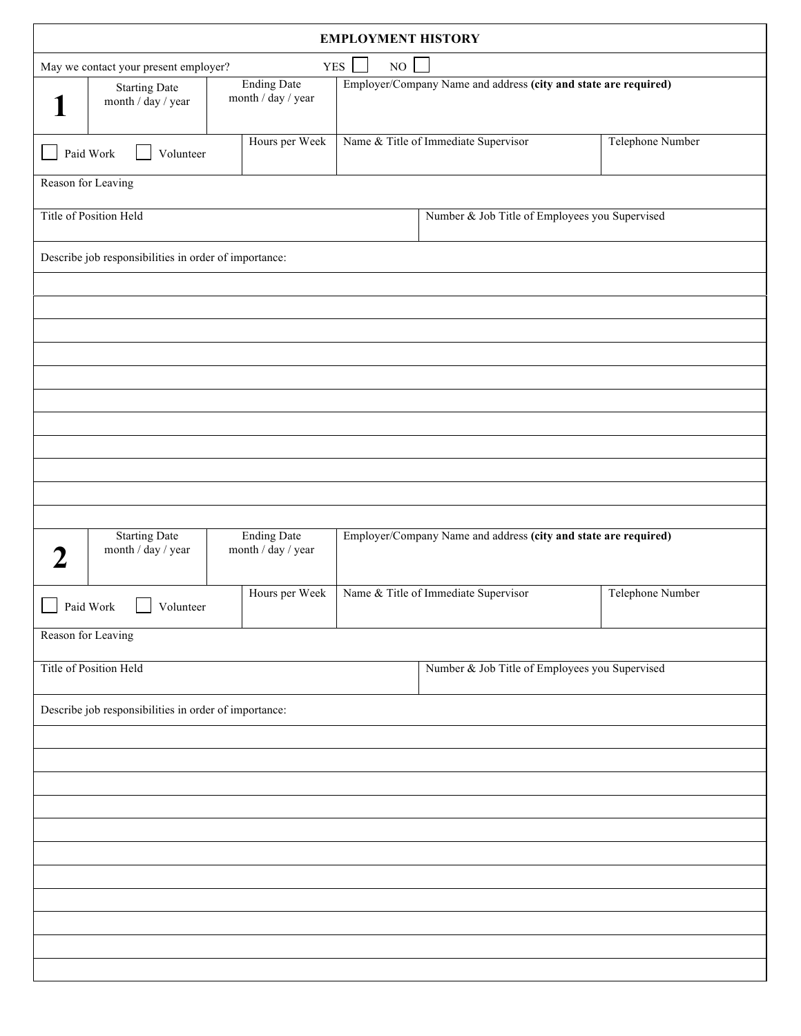| <b>EMPLOYMENT HISTORY</b>                                                                                                                                 |                                          |  |                                                                 |                  |  |  |  |
|-----------------------------------------------------------------------------------------------------------------------------------------------------------|------------------------------------------|--|-----------------------------------------------------------------|------------------|--|--|--|
| <b>YES</b><br>NO<br>May we contact your present employer?                                                                                                 |                                          |  |                                                                 |                  |  |  |  |
| <b>Ending Date</b><br>Employer/Company Name and address (city and state are required)<br><b>Starting Date</b><br>month / day / year<br>month / day / year |                                          |  |                                                                 |                  |  |  |  |
| Paid Work<br>Volunteer                                                                                                                                    | Hours per Week                           |  | Name & Title of Immediate Supervisor                            | Telephone Number |  |  |  |
| Reason for Leaving                                                                                                                                        |                                          |  |                                                                 |                  |  |  |  |
| Title of Position Held<br>Number & Job Title of Employees you Supervised                                                                                  |                                          |  |                                                                 |                  |  |  |  |
| Describe job responsibilities in order of importance:                                                                                                     |                                          |  |                                                                 |                  |  |  |  |
|                                                                                                                                                           |                                          |  |                                                                 |                  |  |  |  |
|                                                                                                                                                           |                                          |  |                                                                 |                  |  |  |  |
|                                                                                                                                                           |                                          |  |                                                                 |                  |  |  |  |
|                                                                                                                                                           |                                          |  |                                                                 |                  |  |  |  |
|                                                                                                                                                           |                                          |  |                                                                 |                  |  |  |  |
|                                                                                                                                                           |                                          |  |                                                                 |                  |  |  |  |
|                                                                                                                                                           |                                          |  |                                                                 |                  |  |  |  |
|                                                                                                                                                           |                                          |  |                                                                 |                  |  |  |  |
|                                                                                                                                                           |                                          |  |                                                                 |                  |  |  |  |
| <b>Starting Date</b><br>month / day / year                                                                                                                | <b>Ending Date</b><br>month / day / year |  | Employer/Company Name and address (city and state are required) |                  |  |  |  |
| Paid Work<br>Volunteer                                                                                                                                    | Hours per Week                           |  | Name & Title of Immediate Supervisor                            | Telephone Number |  |  |  |
| Reason for Leaving                                                                                                                                        |                                          |  |                                                                 |                  |  |  |  |
| Title of Position Held                                                                                                                                    |                                          |  | Number & Job Title of Employees you Supervised                  |                  |  |  |  |
| Describe job responsibilities in order of importance:                                                                                                     |                                          |  |                                                                 |                  |  |  |  |
|                                                                                                                                                           |                                          |  |                                                                 |                  |  |  |  |
|                                                                                                                                                           |                                          |  |                                                                 |                  |  |  |  |
|                                                                                                                                                           |                                          |  |                                                                 |                  |  |  |  |
|                                                                                                                                                           |                                          |  |                                                                 |                  |  |  |  |
|                                                                                                                                                           |                                          |  |                                                                 |                  |  |  |  |
|                                                                                                                                                           |                                          |  |                                                                 |                  |  |  |  |
|                                                                                                                                                           |                                          |  |                                                                 |                  |  |  |  |
|                                                                                                                                                           |                                          |  |                                                                 |                  |  |  |  |
|                                                                                                                                                           |                                          |  |                                                                 |                  |  |  |  |